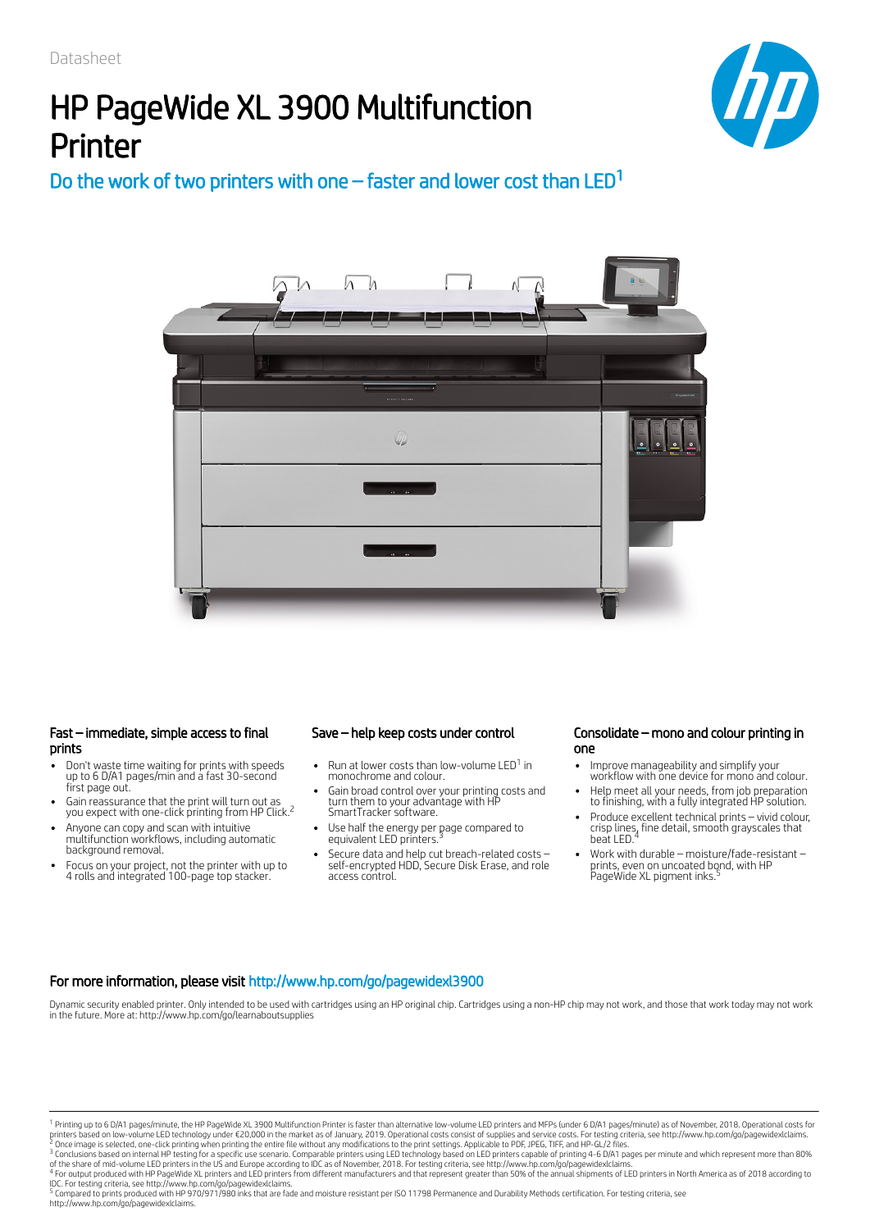# HP PageWide XL 3900 Multifunction **Printer**



# Do the work of two printers with one  $-$  faster and lower cost than LED<sup>1</sup>



### Fast – immediate, simple access to final prints

- Don't waste time waiting for prints with speeds up to 6 D/A1 pages/min and a fast 30-second first page out.
- Gain reassurance that the print will turn out as you expect with one-click printing from HP Click.<sup>2</sup>
- Anyone can copy and scan with intuitive multifunction workflows, including automatic background removal.
- Focus on your project, not the printer with up to 4 rolls and integrated 100-page top stacker.

- Run at lower costs than low-volume LED<sup>1</sup> in  $\bullet$ monochrome and colour.
- Gain broad control over your printing costs and turn them to your advantage with HP SmartTracker software.
- Use half the energy per page compared to equivalent LED printers. 3 4
- Secure data and help cut breach-related costs self-encrypted HDD, Secure Disk Erase, and role access control.

### Save – help keep costs under control Consolidate – mono and colour printing in one

- Improve manageability and simplify your workflow with one device for mono and colour.
- Help meet all your needs, from job preparation to finishing, with a fully integrated HP solution.
- Produce excellent technical prints vivid colour, crisp lines, fine detail, smooth grayscales that<br>beat LED.<sup>4</sup>
- Work with durable moisture/fade-resistant prints, even on uncoated bond, with HP PageWide XL pigment inks. 5

## For more information, please visit http://www.hp.com/go/pagewidexl3900

Dynamic security enabled printer. Only intended to be used with cartridges using an HP original chip. Cartridges using a non-HP chip may not work, and those that work today may not work in the future. More at: http://www.hp.com/go/learnaboutsupplies

<sup>&</sup>lt;sup>1</sup> Printing up to 6 D/A1 pages/minute, the HP PageWide XL 3900 Multifunction Printer is faster than alternative low-volume LED printers and MFPs (under 6 D/A1 pages/minute) as of November, 2018. Operational costs for 2 3

printers based on low-volume LED technology under €20,000 in the market as of January, 2019. Operational costs consist of supplies and service costs. For testing criteria, see http://www.hp.com/go/pagewidexlclaims.<br><sup>3</sup> Oc

<sup>&</sup>lt;sup>4</sup> For output produced with HP PageWide XL printers and LED printers from different manufacturers and that represent greater than 50% of the annual shipments of LED printers in North America as of 2018 according to IDC. For testing criteria, see http://www.hp.com/go/pagewidexlclaims.<br><sup>5</sup> Compared to prints produced with HP 970/971/980 inks that are fade and moisture resistant per ISO 11798 Permanence and Durability Methods certificat

http://www.hp.com/go/pagewidexlclaims.